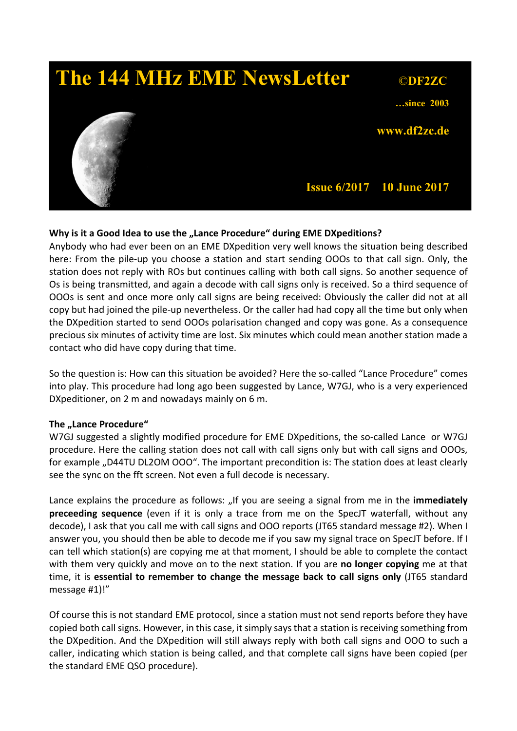

### Why is it a Good Idea to use the "Lance Procedure" during EME DXpeditions?

Anybody who had ever been on an EME DXpedition very well knows the situation being described here: From the pile-up you choose a station and start sending OOOs to that call sign. Only, the station does not reply with ROs but continues calling with both call signs. So another sequence of Os is being transmitted, and again a decode with call signs only is received. So a third sequence of OOOs is sent and once more only call signs are being received: Obviously the caller did not at all copy but had joined the pile-up nevertheless. Or the caller had had copy all the time but only when the DXpedition started to send OOOs polarisation changed and copy was gone. As a consequence precious six minutes of activity time are lost. Six minutes which could mean another station made a contact who did have copy during that time.

So the question is: How can this situation be avoided? Here the so-called "Lance Procedure" comes into play. This procedure had long ago been suggested by Lance, W7GJ, who is a very experienced DXpeditioner, on 2 m and nowadays mainly on 6 m.

#### The "Lance Procedure"

W7GJ suggested a slightly modified procedure for EME DXpeditions, the so-called Lance or W7GJ procedure. Here the calling station does not call with call signs only but with call signs and OOOs, for example "D44TU DL2OM OOO". The important precondition is: The station does at least clearly see the sync on the fft screen. Not even a full decode is necessary.

Lance explains the procedure as follows: "If you are seeing a signal from me in the immediately preceeding sequence (even if it is only a trace from me on the SpecJT waterfall, without any decode), I ask that you call me with call signs and OOO reports (JT65 standard message #2). When I answer you, you should then be able to decode me if you saw my signal trace on SpecJT before. If I can tell which station(s) are copying me at that moment, I should be able to complete the contact with them very quickly and move on to the next station. If you are no longer copying me at that time, it is essential to remember to change the message back to call signs only (JT65 standard message #1)!"

Of course this is not standard EME protocol, since a station must not send reports before they have copied both call signs. However, in this case, it simply says that a station is receiving something from the DXpedition. And the DXpedition will still always reply with both call signs and OOO to such a caller, indicating which station is being called, and that complete call signs have been copied (per the standard EME QSO procedure).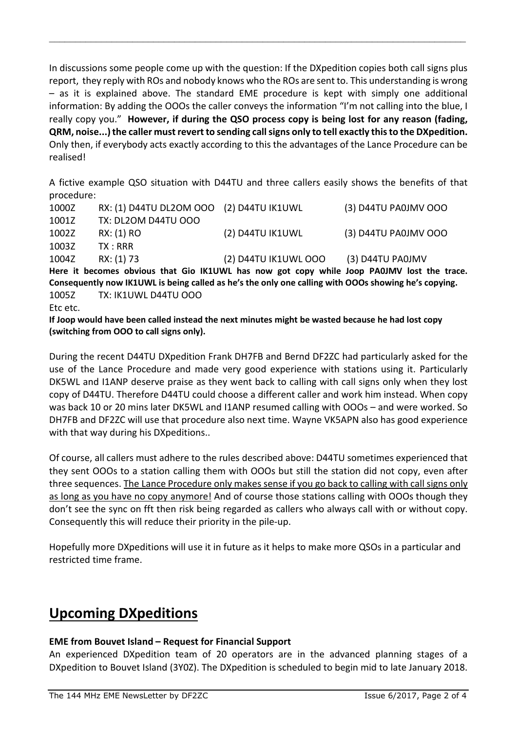In discussions some people come up with the question: If the DXpedition copies both call signs plus report, they reply with ROs and nobody knows who the ROs are sent to. This understanding is wrong – as it is explained above. The standard EME procedure is kept with simply one additional information: By adding the OOOs the caller conveys the information "I'm not calling into the blue, I really copy you." However, if during the QSO process copy is being lost for any reason (fading, QRM, noise...) the caller must revert to sending call signs only to tell exactly this to the DXpedition. Only then, if everybody acts exactly according to this the advantages of the Lance Procedure can be realised!

\_\_\_\_\_\_\_\_\_\_\_\_\_\_\_\_\_\_\_\_\_\_\_\_\_\_\_\_\_\_\_\_\_\_\_\_\_\_\_\_\_\_\_\_\_\_\_\_\_\_\_\_\_\_\_\_\_\_\_\_\_\_\_\_\_\_\_\_\_\_\_\_\_\_\_\_\_\_\_\_

A fictive example QSO situation with D44TU and three callers easily shows the benefits of that procedure:

| 1000Z                                                                                                | RX: (1) D44TU DL2OM OOO (2) D44TU IK1UWL |                                       | (3) D44TU PA0JMV OOO                                                                       |
|------------------------------------------------------------------------------------------------------|------------------------------------------|---------------------------------------|--------------------------------------------------------------------------------------------|
| 1001Z                                                                                                | <b>TX: DL2OM D44TU OOO</b>               |                                       |                                                                                            |
| 1002Z                                                                                                | RX: (1) RO                               | (2) D44TU IK1UWL                      | (3) D44TU PA0JMV OOO                                                                       |
| 1003Z                                                                                                | TX:RRR                                   |                                       |                                                                                            |
| 1004Z                                                                                                | RX: (1) 73                               | (2) D44TU IK1UWL OOO (3) D44TU PA0JMV |                                                                                            |
|                                                                                                      |                                          |                                       | Here it becomes obvious that Gio IK1UWL has now got copy while Joop PA0JMV lost the trace. |
| Consequently now IK1UWL is being called as he's the only one calling with OOOs showing he's copying. |                                          |                                       |                                                                                            |
| 1005Z                                                                                                | TX: IK1UWL D44TU OOO                     |                                       |                                                                                            |
| Etc etc.                                                                                             |                                          |                                       |                                                                                            |

If Joop would have been called instead the next minutes might be wasted because he had lost copy (switching from OOO to call signs only).

During the recent D44TU DXpedition Frank DH7FB and Bernd DF2ZC had particularly asked for the use of the Lance Procedure and made very good experience with stations using it. Particularly DK5WL and I1ANP deserve praise as they went back to calling with call signs only when they lost copy of D44TU. Therefore D44TU could choose a different caller and work him instead. When copy was back 10 or 20 mins later DK5WL and I1ANP resumed calling with OOOs – and were worked. So DH7FB and DF2ZC will use that procedure also next time. Wayne VK5APN also has good experience with that way during his DXpeditions..

Of course, all callers must adhere to the rules described above: D44TU sometimes experienced that they sent OOOs to a station calling them with OOOs but still the station did not copy, even after three sequences. The Lance Procedure only makes sense if you go back to calling with call signs only as long as you have no copy anymore! And of course those stations calling with OOOs though they don't see the sync on fft then risk being regarded as callers who always call with or without copy. Consequently this will reduce their priority in the pile-up.

Hopefully more DXpeditions will use it in future as it helps to make more QSOs in a particular and restricted time frame.

# Upcoming DXpeditions

### EME from Bouvet Island – Request for Financial Support

An experienced DXpedition team of 20 operators are in the advanced planning stages of a DXpedition to Bouvet Island (3Y0Z). The DXpedition is scheduled to begin mid to late January 2018.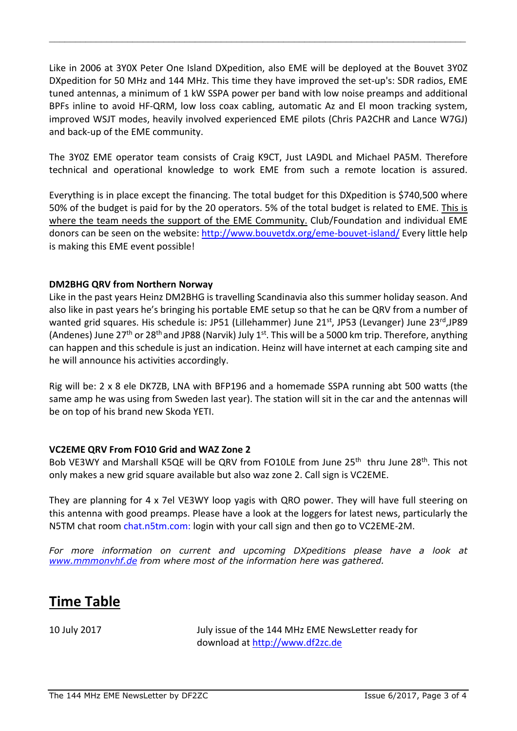Like in 2006 at 3Y0X Peter One Island DXpedition, also EME will be deployed at the Bouvet 3Y0Z DXpedition for 50 MHz and 144 MHz. This time they have improved the set-up's: SDR radios, EME tuned antennas, a minimum of 1 kW SSPA power per band with low noise preamps and additional BPFs inline to avoid HF-QRM, low loss coax cabling, automatic Az and El moon tracking system, improved WSJT modes, heavily involved experienced EME pilots (Chris PA2CHR and Lance W7GJ) and back-up of the EME community.

\_\_\_\_\_\_\_\_\_\_\_\_\_\_\_\_\_\_\_\_\_\_\_\_\_\_\_\_\_\_\_\_\_\_\_\_\_\_\_\_\_\_\_\_\_\_\_\_\_\_\_\_\_\_\_\_\_\_\_\_\_\_\_\_\_\_\_\_\_\_\_\_\_\_\_\_\_\_\_\_

The 3Y0Z EME operator team consists of Craig K9CT, Just LA9DL and Michael PA5M. Therefore technical and operational knowledge to work EME from such a remote location is assured.

Everything is in place except the financing. The total budget for this DXpedition is \$740,500 where 50% of the budget is paid for by the 20 operators. 5% of the total budget is related to EME. This is where the team needs the support of the EME Community. Club/Foundation and individual EME donors can be seen on the website: http://www.bouvetdx.org/eme-bouvet-island/ Every little help is making this EME event possible!

#### DM2BHG QRV from Northern Norway

Like in the past years Heinz DM2BHG is travelling Scandinavia also this summer holiday season. And also like in past years he's bringing his portable EME setup so that he can be QRV from a number of wanted grid squares. His schedule is: JP51 (Lillehammer) June 21<sup>st</sup>, JP53 (Levanger) June 23<sup>rd</sup>,JP89 (Andenes) June 27<sup>th</sup> or 28<sup>th</sup> and JP88 (Narvik) July 1<sup>st</sup>. This will be a 5000 km trip. Therefore, anything can happen and this schedule is just an indication. Heinz will have internet at each camping site and he will announce his activities accordingly.

Rig will be: 2 x 8 ele DK7ZB, LNA with BFP196 and a homemade SSPA running abt 500 watts (the same amp he was using from Sweden last year). The station will sit in the car and the antennas will be on top of his brand new Skoda YETI.

#### VC2EME QRV From FO10 Grid and WAZ Zone 2

Bob VE3WY and Marshall K5QE will be QRV from FO10LE from June 25<sup>th</sup> thru June 28<sup>th</sup>. This not only makes a new grid square available but also waz zone 2. Call sign is VC2EME.

They are planning for 4 x 7el VE3WY loop yagis with QRO power. They will have full steering on this antenna with good preamps. Please have a look at the loggers for latest news, particularly the N5TM chat room chat.n5tm.com: login with your call sign and then go to VC2EME-2M.

For more information on current and upcoming DXpeditions please have a look at *www.mmmonvhf.de from where most of the information here was gathered.*

## Time Table

10 July 2017 July issue of the 144 MHz EME NewsLetter ready for download at http://www.df2zc.de